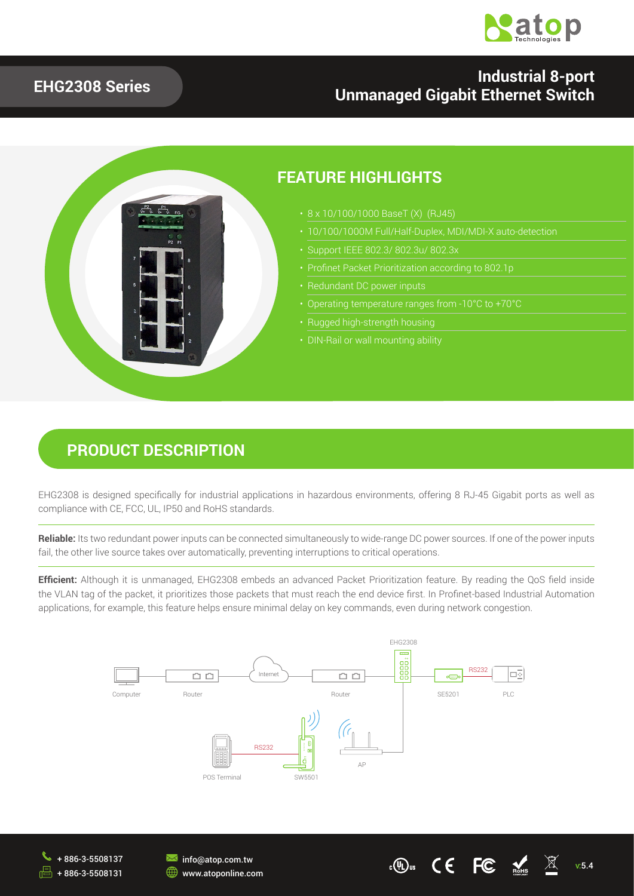

#### **EHG2308 Series**

### **Industrial 8-port Unmanaged Gigabit Ethernet Switch**



### **PRODUCT DESCRIPTION**

EHG2308 is designed specifically for industrial applications in hazardous environments, offering 8 RJ-45 Gigabit ports as well as compliance with CE, FCC, UL, IP50 and RoHS standards.

**Reliable:** Its two redundant power inputs can be connected simultaneously to wide-range DC power sources. If one of the power inputs fail, the other live source takes over automatically, preventing interruptions to critical operations.

**Efficient:** Although it is unmanaged, EHG2308 embeds an advanced Packet Prioritization feature. By reading the QoS field inside the VLAN tag of the packet, it prioritizes those packets that must reach the end device first. In Profinet-based Industrial Automation applications, for example, this feature helps ensure minimal delay on key commands, even during network congestion.





 $\overline{\mathbf{M}}$  info@atop.com.tw **WWW.atoponline.com** 

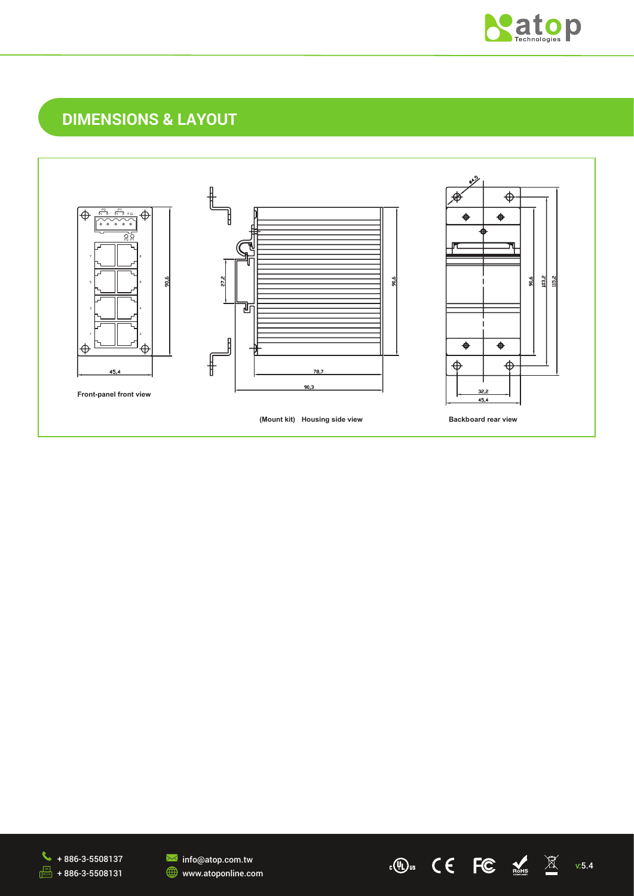

v:5.4

 $\mathbb{C}$   $\mathbb{C}$  and  $\mathbb{C}$  and  $\mathbb{C}$  and  $\mathbb{C}$  and  $\mathbb{C}$  and  $\mathbb{C}$  and  $\mathbb{C}$  and  $\mathbb{C}$  and  $\mathbb{C}$  and  $\mathbb{C}$  and  $\mathbb{C}$  and  $\mathbb{C}$  and  $\mathbb{C}$  and  $\mathbb{C}$  and  $\mathbb{C}$  and  $\mathbb{C}$  and  $\mathbb$ 

## **DIMENSIONS & LAYOUT**





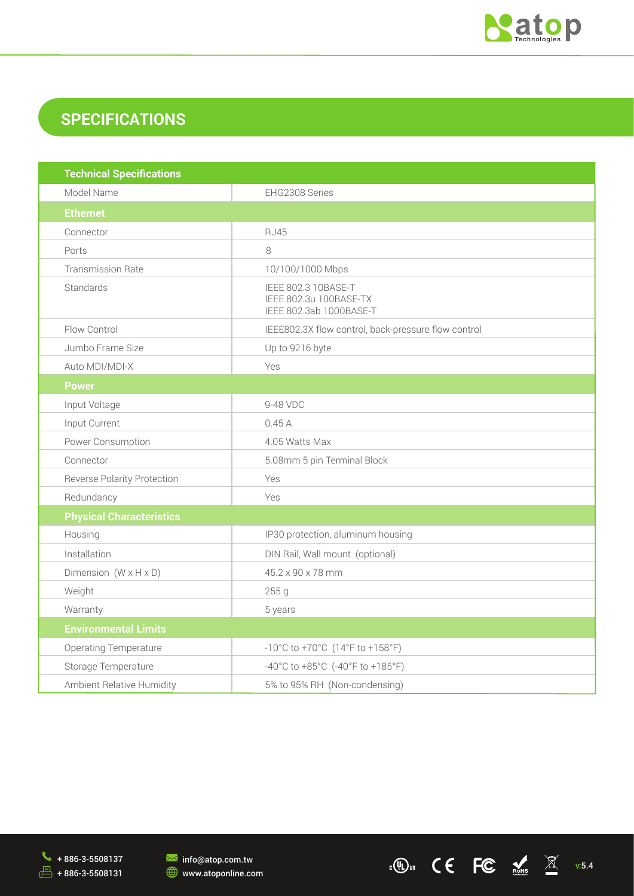

c(0) us  $\mathsf{CE}$  FC  $\mathsf{CE}$  X v.5.4

# **SPECIFICATIONS**

| <b>Technical Specifications</b>    |                                                                          |  |  |  |
|------------------------------------|--------------------------------------------------------------------------|--|--|--|
| Model Name                         | EHG2308 Series                                                           |  |  |  |
| <b>Ethernet</b>                    |                                                                          |  |  |  |
| Connector                          | <b>RJ45</b>                                                              |  |  |  |
| Ports                              | 8                                                                        |  |  |  |
| <b>Transmission Rate</b>           | 10/100/1000 Mbps                                                         |  |  |  |
| Standards                          | IEEE 802.3 10BASE-T<br>IEEE 802.3u 100BASE-TX<br>IEEE 802.3ab 1000BASE-T |  |  |  |
| Flow Control                       | IEEE802.3X flow control, back-pressure flow control                      |  |  |  |
| Jumbo Frame Size                   | Up to 9216 byte                                                          |  |  |  |
| Auto MDI/MDI-X                     | Yes                                                                      |  |  |  |
| <b>Power</b>                       |                                                                          |  |  |  |
| Input Voltage                      | 9-48 VDC                                                                 |  |  |  |
| Input Current                      | 0.45A                                                                    |  |  |  |
| Power Consumption                  | 4.05 Watts Max                                                           |  |  |  |
| Connector                          | 5.08mm 5 pin Terminal Block                                              |  |  |  |
| <b>Reverse Polarity Protection</b> | Yes                                                                      |  |  |  |
| Redundancy                         | Yes                                                                      |  |  |  |
| <b>Physical Characteristics</b>    |                                                                          |  |  |  |
| Housing                            | IP30 protection, aluminum housing                                        |  |  |  |
| Installation                       | DIN Rail, Wall mount (optional)                                          |  |  |  |
| Dimension $(W \times H \times D)$  | 45.2 x 90 x 78 mm                                                        |  |  |  |
| Weight                             | 255 g                                                                    |  |  |  |
| Warranty                           | 5 years                                                                  |  |  |  |
| <b>Environmental Limits</b>        |                                                                          |  |  |  |
| <b>Operating Temperature</b>       | $-10^{\circ}$ C to $+70^{\circ}$ C (14°F to $+158^{\circ}$ F)            |  |  |  |
| Storage Temperature                | -40°C to +85°C (-40°F to +185°F)                                         |  |  |  |
| Ambient Relative Humidity          | 5% to 95% RH (Non-condensing)                                            |  |  |  |